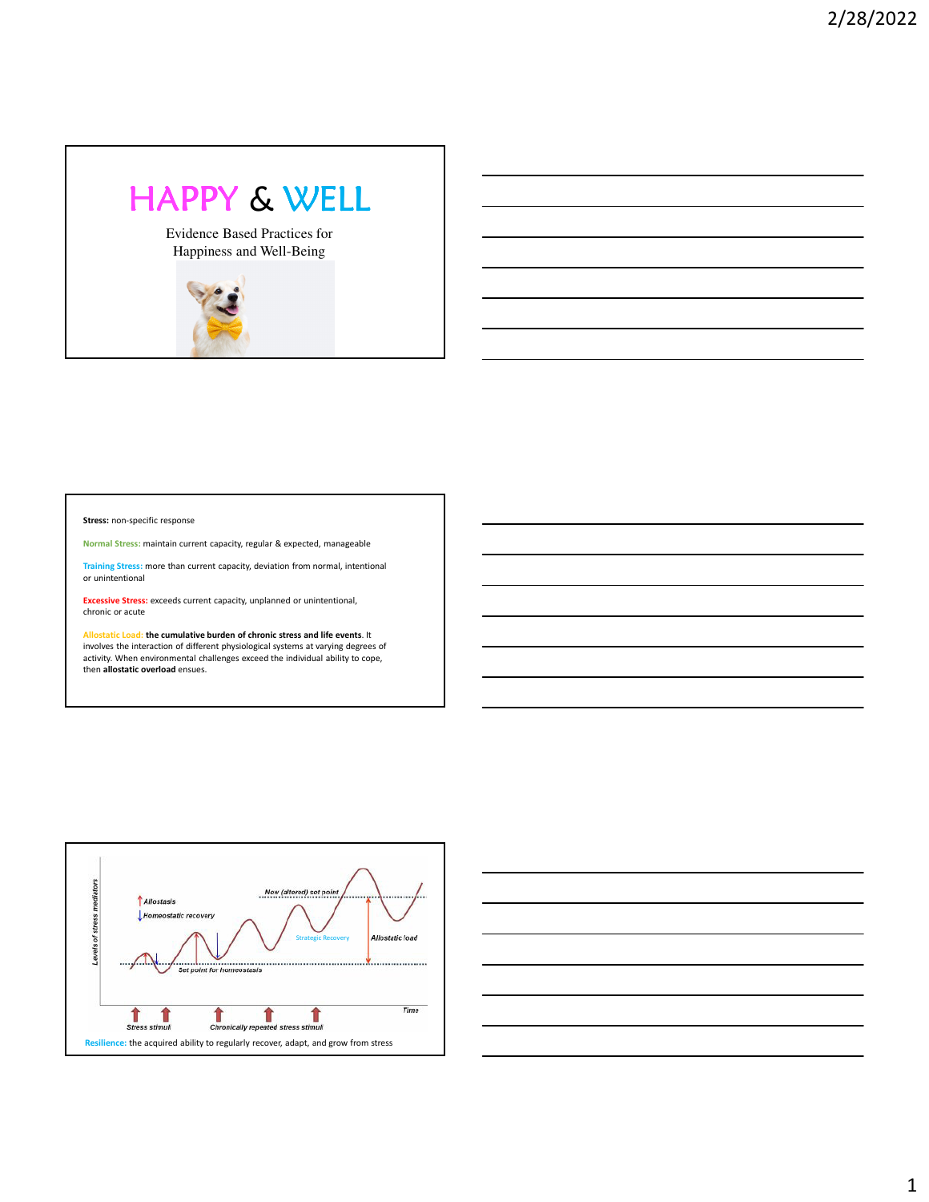## HAPPY & WELL

Evidence Based Practices for Happiness and Well-Being



**Stress:** non-specific response

**Normal Stress:** maintain current capacity, regular & expected, manageable

**Training Stress:** more than current capacity, deviation from normal, intentional or unintentional

**Excessive Stress:** exceeds current capacity, unplanned or unintentional, chronic or acute

**Allostatic Load: the cumulative burden of chronic stress and life events**. It involves the interaction of different physiological systems at varying degrees of activity. When environmental challenges exceed the individual ability to cope, then **allostatic overload** ensues.



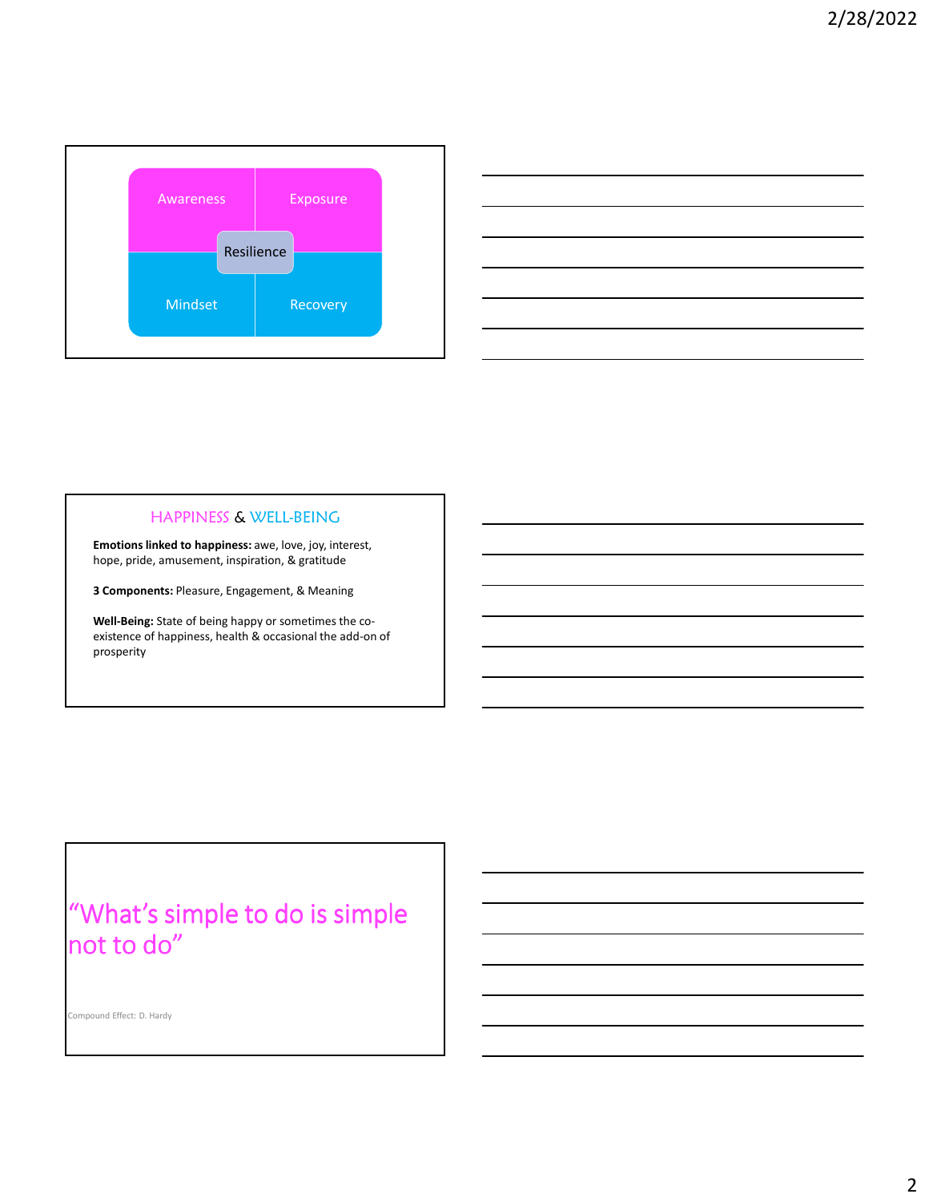



## HAPPINESS & WELL-BEING

**Emotions linked to happiness:** awe, love, joy, interest, hope, pride, amusement, inspiration, & gratitude

**3 Components:** Pleasure, Engagement, & Meaning

**Well-Being:** State of being happy or sometimes the coexistence of happiness, health & occasional the add-on of prosperity

## "What's simple to do is simple not to do"

Compound Effect: D. Hardy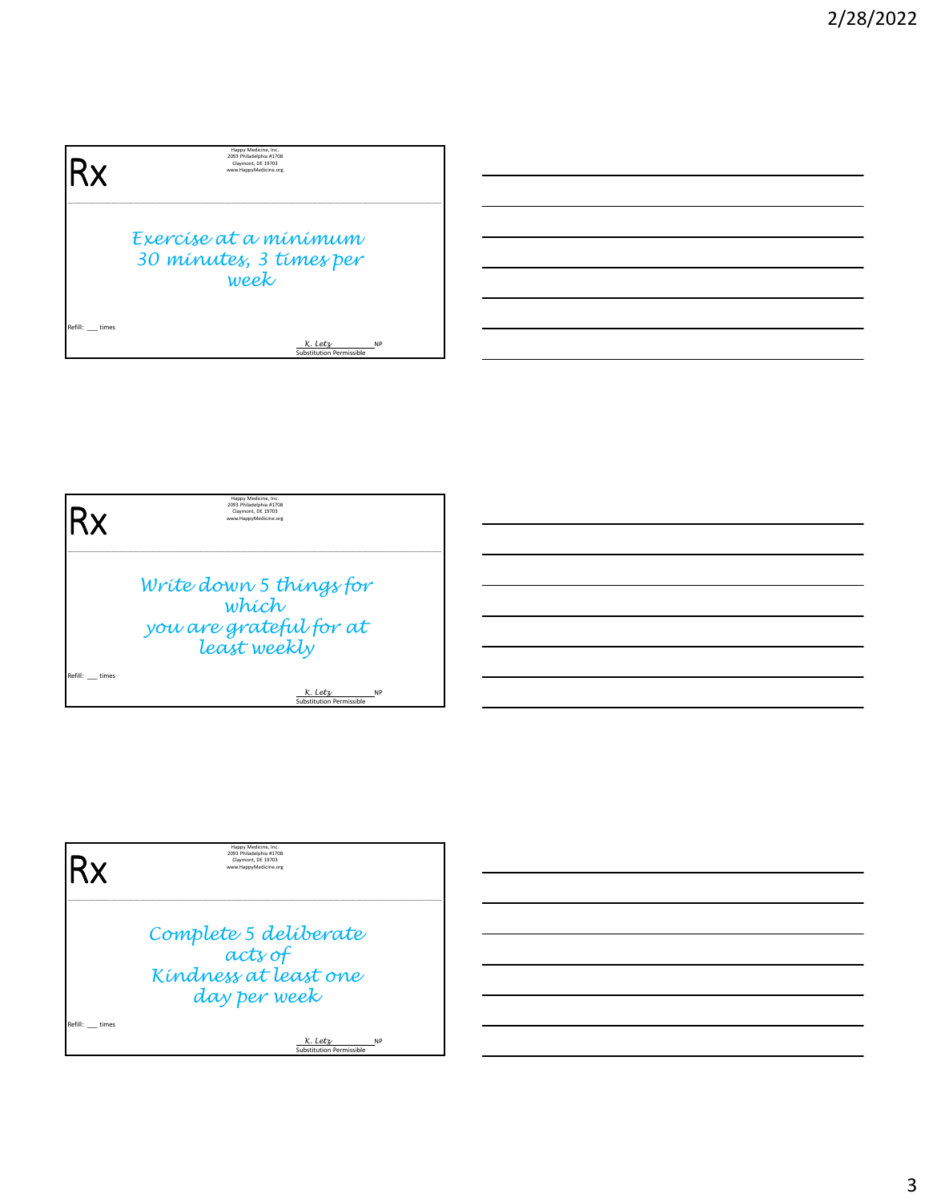| Happy Medicine, Inc.<br>2093 Philadelphia #1708<br>Claymont, DE 19703<br>www.HappyMedicine.org |
|------------------------------------------------------------------------------------------------|
| Exercíse at a mínímum                                                                          |
| 30 minutes, 3 times per<br>week                                                                |
| K. Letz<br><b>NP</b><br>Substitution Permissible                                               |
|                                                                                                |



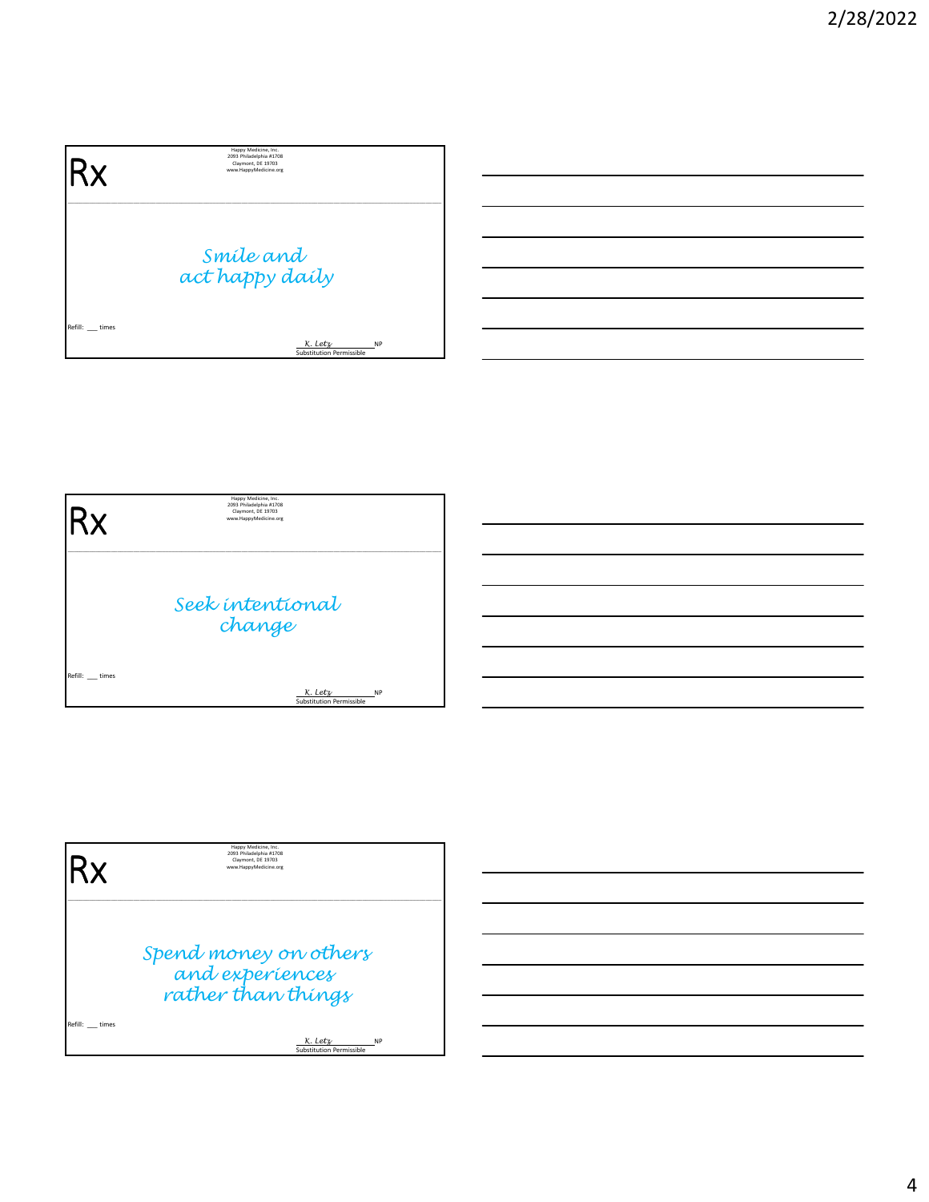| ιRχ              | Happy Medicine, Inc.<br>2093 Philadelphia #1708<br>Claymont, DE 19703<br>www.HappyMedicine.org |
|------------------|------------------------------------------------------------------------------------------------|
|                  | Smíle and<br>act happy daily                                                                   |
| Refill: __ times | K. Letz<br><b>NP</b><br>Substitution Permissible                                               |



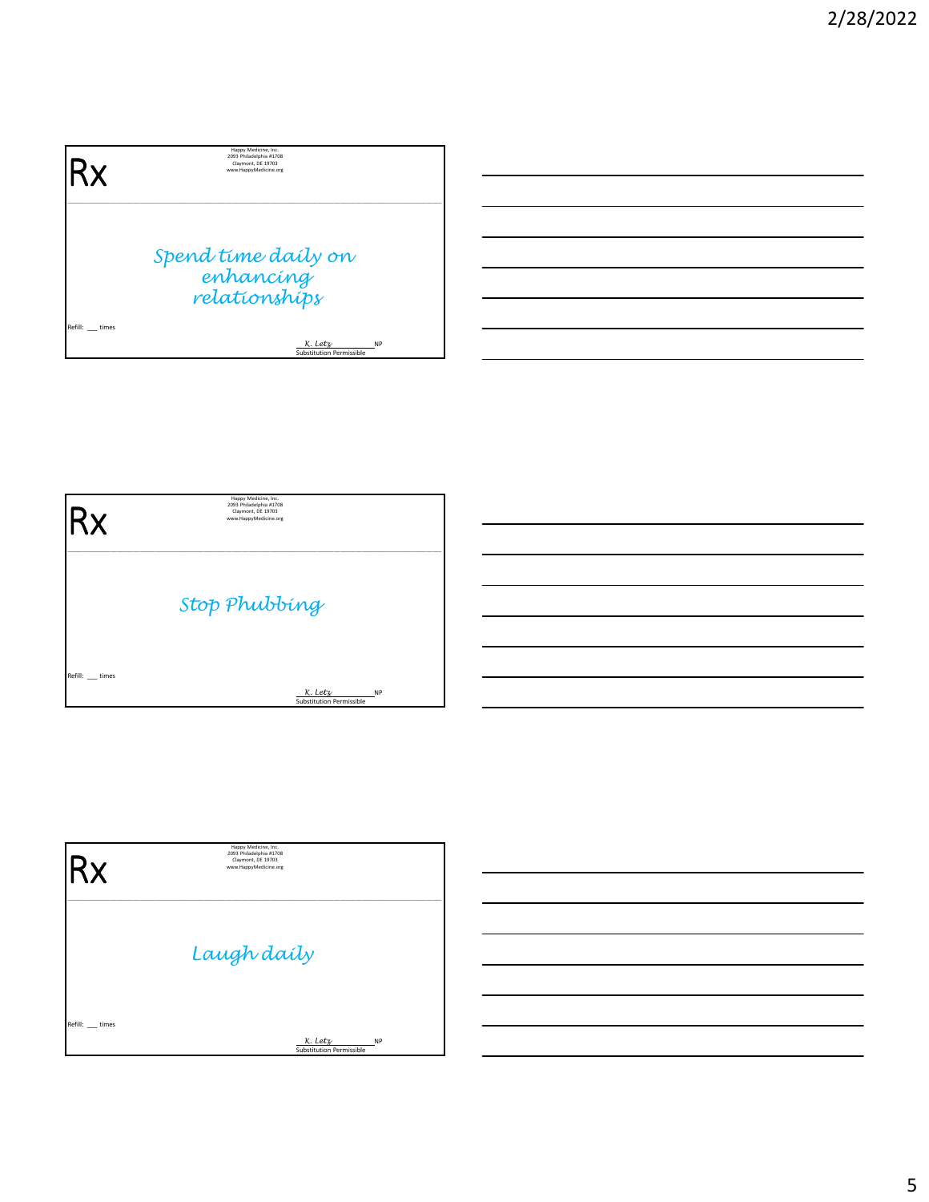| .Rx           | Happy Medicine, Inc.<br>2093 Philadelphia #1708<br>Claymont, DE 19703<br>www.HappyMedicine.org |
|---------------|------------------------------------------------------------------------------------------------|
|               | Spend time daily on<br>enhancing<br>relationships                                              |
| Refill: times |                                                                                                |
|               | K. Letz<br><b>NP</b><br>Substitution Permissible                                               |